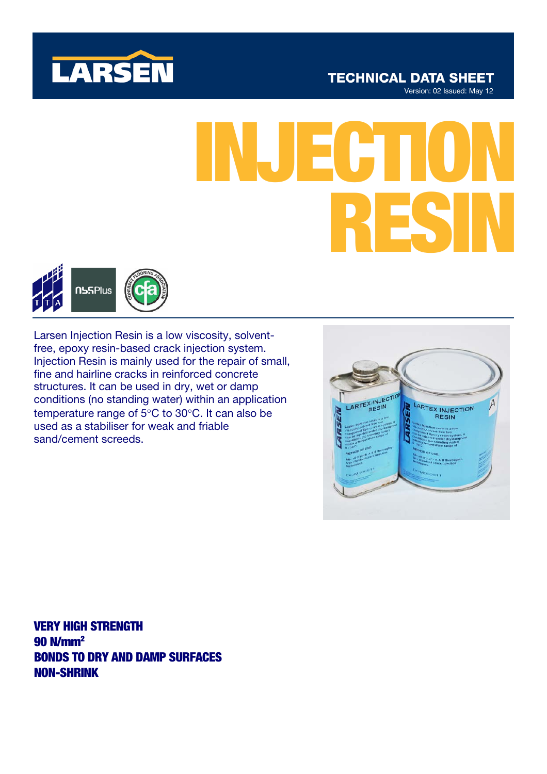

# **TECHNICAL DATA SHEET**

Version: 02 Issued: May 12

# INJECTION RESIN



Larsen Injection Resin is a low viscosity, solventfree, epoxy resin-based crack injection system. Injection Resin is mainly used for the repair of small, fine and hairline cracks in reinforced concrete structures. It can be used in dry, wet or damp conditions (no standing water) within an application temperature range of 5°C to 30°C. It can also be used as a stabiliser for weak and friable sand/cement screeds.



VERY HIGH STRENGTH 90 N/mm2 BONDS TO DRY AND DAMP SURFACES NON-SHRINK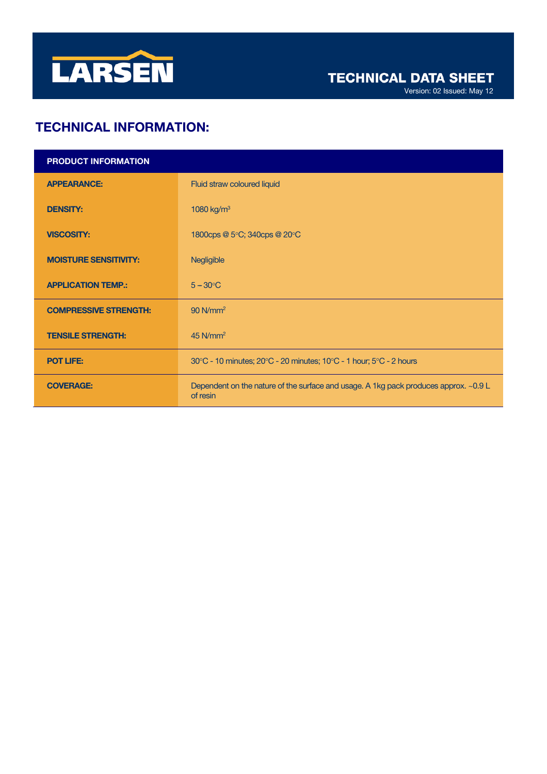

Version: 02 Issued: May 12

# TECHNICAL INFORMATION:

| <b>PRODUCT INFORMATION</b>   |                                                                                                  |
|------------------------------|--------------------------------------------------------------------------------------------------|
| <b>APPEARANCE:</b>           | Fluid straw coloured liquid                                                                      |
| <b>DENSITY:</b>              | 1080 kg/m <sup>3</sup>                                                                           |
| <b>VISCOSITY:</b>            | 1800cps @ 5°C; 340cps @ 20°C                                                                     |
| <b>MOISTURE SENSITIVITY:</b> | Negligible                                                                                       |
| <b>APPLICATION TEMP.:</b>    | $5 - 30^{\circ}C$                                                                                |
| <b>COMPRESSIVE STRENGTH:</b> | $90$ N/mm <sup>2</sup>                                                                           |
| <b>TENSILE STRENGTH:</b>     | $45$ N/mm <sup>2</sup>                                                                           |
| <b>POT LIFE:</b>             | 30°C - 10 minutes; 20°C - 20 minutes; 10°C - 1 hour; 5°C - 2 hours                               |
| <b>COVERAGE:</b>             | Dependent on the nature of the surface and usage. A 1kg pack produces approx. ~0.9 L<br>of resin |